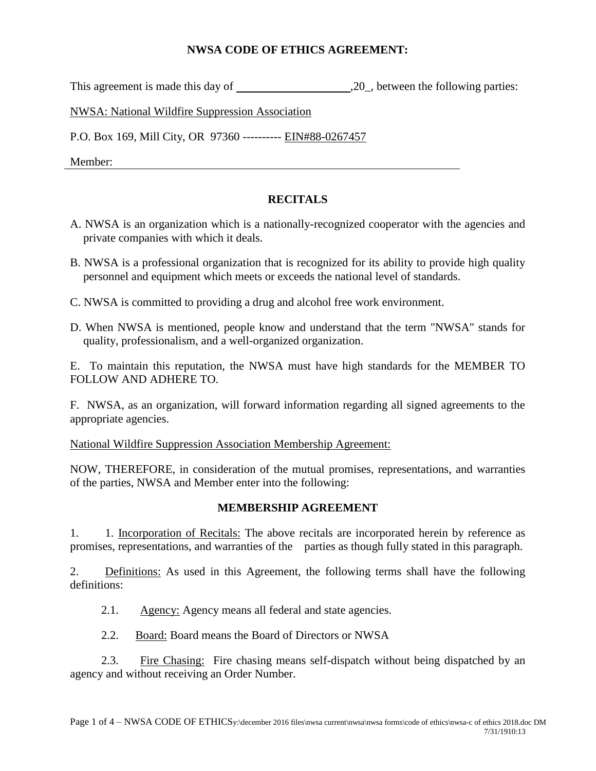## **NWSA CODE OF ETHICS AGREEMENT:**

This agreement is made this day of ,20, between the following parties:

NWSA: National Wildfire Suppression Association

P.O. Box 169, Mill City, OR 97360 ---------- EIN#88-0267457

Member:

## **RECITALS**

- A. NWSA is an organization which is a nationally-recognized cooperator with the agencies and private companies with which it deals.
- B. NWSA is a professional organization that is recognized for its ability to provide high quality personnel and equipment which meets or exceeds the national level of standards.
- C. NWSA is committed to providing a drug and alcohol free work environment.
- D. When NWSA is mentioned, people know and understand that the term "NWSA" stands for quality, professionalism, and a well-organized organization.

E. To maintain this reputation, the NWSA must have high standards for the MEMBER TO FOLLOW AND ADHERE TO.

F. NWSA, as an organization, will forward information regarding all signed agreements to the appropriate agencies.

National Wildfire Suppression Association Membership Agreement:

NOW, THEREFORE, in consideration of the mutual promises, representations, and warranties of the parties, NWSA and Member enter into the following:

## **MEMBERSHIP AGREEMENT**

1. 1. Incorporation of Recitals: The above recitals are incorporated herein by reference as promises, representations, and warranties of the parties as though fully stated in this paragraph.

2. Definitions: As used in this Agreement, the following terms shall have the following definitions:

- 2.1. Agency: Agency means all federal and state agencies.
- 2.2. Board: Board means the Board of Directors or NWSA

2.3. Fire Chasing: Fire chasing means self-dispatch without being dispatched by an agency and without receiving an Order Number.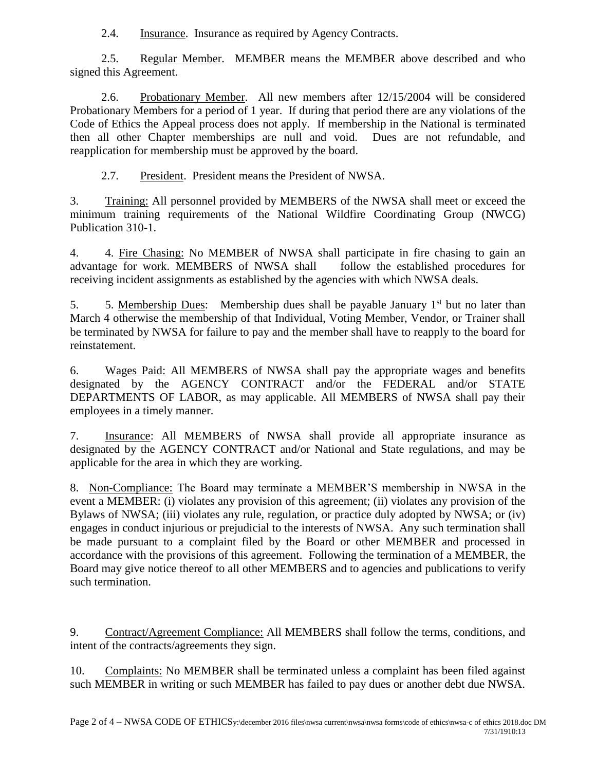2.4. Insurance. Insurance as required by Agency Contracts.

2.5. Regular Member. MEMBER means the MEMBER above described and who signed this Agreement.

2.6. Probationary Member. All new members after 12/15/2004 will be considered Probationary Members for a period of 1 year. If during that period there are any violations of the Code of Ethics the Appeal process does not apply. If membership in the National is terminated then all other Chapter memberships are null and void. Dues are not refundable, and reapplication for membership must be approved by the board.

2.7. President. President means the President of NWSA.

3. Training: All personnel provided by MEMBERS of the NWSA shall meet or exceed the minimum training requirements of the National Wildfire Coordinating Group (NWCG) Publication 310-1.

4. 4. Fire Chasing: No MEMBER of NWSA shall participate in fire chasing to gain an advantage for work. MEMBERS of NWSA shall follow the established procedures for receiving incident assignments as established by the agencies with which NWSA deals.

5. 5. Membership Dues: Membership dues shall be payable January  $1<sup>st</sup>$  but no later than March 4 otherwise the membership of that Individual, Voting Member, Vendor, or Trainer shall be terminated by NWSA for failure to pay and the member shall have to reapply to the board for reinstatement.

6. Wages Paid: All MEMBERS of NWSA shall pay the appropriate wages and benefits designated by the AGENCY CONTRACT and/or the FEDERAL and/or STATE DEPARTMENTS OF LABOR, as may applicable. All MEMBERS of NWSA shall pay their employees in a timely manner.

7. Insurance: All MEMBERS of NWSA shall provide all appropriate insurance as designated by the AGENCY CONTRACT and/or National and State regulations, and may be applicable for the area in which they are working.

8. Non-Compliance: The Board may terminate a MEMBER'S membership in NWSA in the event a MEMBER: (i) violates any provision of this agreement; (ii) violates any provision of the Bylaws of NWSA; (iii) violates any rule, regulation, or practice duly adopted by NWSA; or (iv) engages in conduct injurious or prejudicial to the interests of NWSA. Any such termination shall be made pursuant to a complaint filed by the Board or other MEMBER and processed in accordance with the provisions of this agreement. Following the termination of a MEMBER, the Board may give notice thereof to all other MEMBERS and to agencies and publications to verify such termination.

9. Contract/Agreement Compliance: All MEMBERS shall follow the terms, conditions, and intent of the contracts/agreements they sign.

10. Complaints: No MEMBER shall be terminated unless a complaint has been filed against such MEMBER in writing or such MEMBER has failed to pay dues or another debt due NWSA.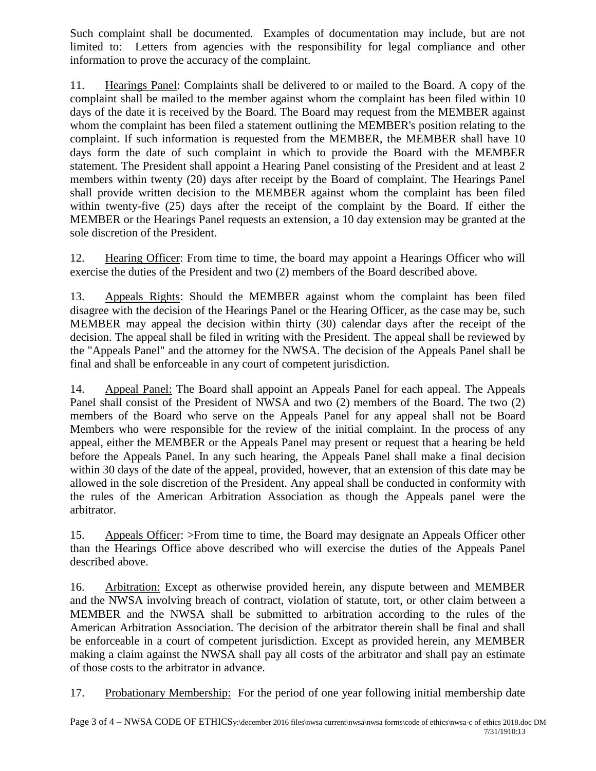Such complaint shall be documented. Examples of documentation may include, but are not limited to: Letters from agencies with the responsibility for legal compliance and other information to prove the accuracy of the complaint.

11. Hearings Panel: Complaints shall be delivered to or mailed to the Board. A copy of the complaint shall be mailed to the member against whom the complaint has been filed within 10 days of the date it is received by the Board. The Board may request from the MEMBER against whom the complaint has been filed a statement outlining the MEMBER's position relating to the complaint. If such information is requested from the MEMBER, the MEMBER shall have 10 days form the date of such complaint in which to provide the Board with the MEMBER statement. The President shall appoint a Hearing Panel consisting of the President and at least 2 members within twenty (20) days after receipt by the Board of complaint. The Hearings Panel shall provide written decision to the MEMBER against whom the complaint has been filed within twenty-five (25) days after the receipt of the complaint by the Board. If either the MEMBER or the Hearings Panel requests an extension, a 10 day extension may be granted at the sole discretion of the President.

12. Hearing Officer: From time to time, the board may appoint a Hearings Officer who will exercise the duties of the President and two (2) members of the Board described above.

13. Appeals Rights: Should the MEMBER against whom the complaint has been filed disagree with the decision of the Hearings Panel or the Hearing Officer, as the case may be, such MEMBER may appeal the decision within thirty (30) calendar days after the receipt of the decision. The appeal shall be filed in writing with the President. The appeal shall be reviewed by the "Appeals Panel" and the attorney for the NWSA. The decision of the Appeals Panel shall be final and shall be enforceable in any court of competent jurisdiction.

14. Appeal Panel: The Board shall appoint an Appeals Panel for each appeal. The Appeals Panel shall consist of the President of NWSA and two (2) members of the Board. The two (2) members of the Board who serve on the Appeals Panel for any appeal shall not be Board Members who were responsible for the review of the initial complaint. In the process of any appeal, either the MEMBER or the Appeals Panel may present or request that a hearing be held before the Appeals Panel. In any such hearing, the Appeals Panel shall make a final decision within 30 days of the date of the appeal, provided, however, that an extension of this date may be allowed in the sole discretion of the President. Any appeal shall be conducted in conformity with the rules of the American Arbitration Association as though the Appeals panel were the arbitrator.

15. Appeals Officer: >From time to time, the Board may designate an Appeals Officer other than the Hearings Office above described who will exercise the duties of the Appeals Panel described above.

16. Arbitration: Except as otherwise provided herein, any dispute between and MEMBER and the NWSA involving breach of contract, violation of statute, tort, or other claim between a MEMBER and the NWSA shall be submitted to arbitration according to the rules of the American Arbitration Association. The decision of the arbitrator therein shall be final and shall be enforceable in a court of competent jurisdiction. Except as provided herein, any MEMBER making a claim against the NWSA shall pay all costs of the arbitrator and shall pay an estimate of those costs to the arbitrator in advance.

17. Probationary Membership: For the period of one year following initial membership date